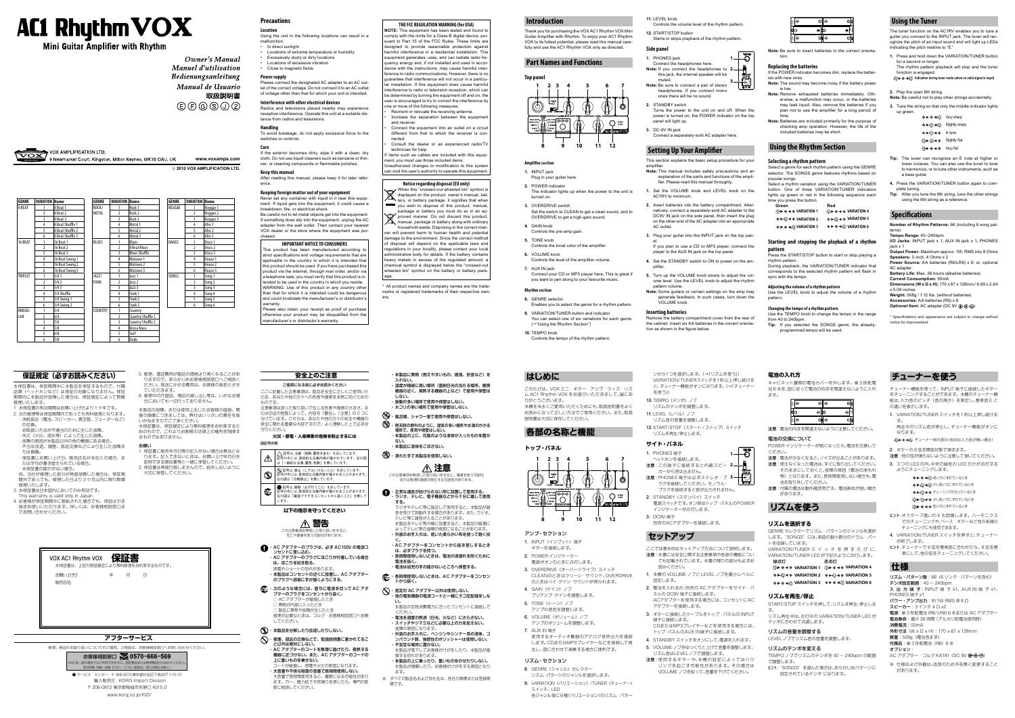# **AC1 Rhythm VOX**

**Mini Guitar Amplifier with Rhythm** 

Owner's Manual Manuel d'utilisation Bedienungsanleitung Manual de Usuario 取扱説明書

# $(E)$  $(F)$  $(G)$  $(S)$  $(1)$  $(2)$

Mewmarket Court, Kingston, Milton Keynes, MK10 OAU, UK **www.voxamps.com 2010 VOX AMPLIFICATION LTD.**

### **安全上のご注意**

ご使用になる前に必ずお読みください ここに記載した注意事項は、製品を安全に正しくご使用いた だき、あなたや他の方々への危害や損害を未然に防ぐための ものです。

注意事項は誤った取り扱いで生じる危害や損害の大きさ、ま たは切迫の程度によって、内容を「警告」、「注意」の 2 つに 分けています。これらは、あなたや他の方々の安全や機器の

保全に関わる重要な内容ですので、よく理解した上で必ずお 守りください。 **火災・感電・人身障害の危険を防止するには**

> **警告** この注意事項を無視した取り扱いをすると、 <sub>こんだけで、</sub><br>これは、これになりないこともない。

### 図記号の例

記号は、注意(危険、警告を含む)を示しています。

- $\mathbb{A}$ 記号の中には、具体的な注意内容が描かれています。左の図 は「一般的な注意、警告、危険」を表しています。 記号は、禁止(してはいけないこと)を示しています。 .<br><del>「号</del>の中には、具体的な注意内容が描かれることがあります 左の図は「分解禁止」を表しています。
- 記号は 強制 (必ず行うこと) を示しています。  $\mathbf{C}$ 中には、具体的な注意内容が描かれることがあります 左の図は「電源プラグをコンセントから抜くこと」を表し

- ・ AC アダプターのブラグは、必ず AC100V の電源コ ンセントに差し込む。 ・ AC アダプターのプラグにほこりが付着している場合 は、ほこりを拭き取る。 感電やショートの恐れがあります。
- ・ 本製品はコンセントの近くに設置し、AC アダプター のプラグへ容易に手が届くようにする。
- **「 ^ ネクような場合には、直ちに電源を切って AC アダ** プターのプラグをコンセントから抜く。 ) AC アダプターが破損したとき ) 異物が内部に入ったとき ○ 製品に異常や故障が生じたとき
	- 修理が必要なときは、コルグ・お客様相談窓口へ依頼 してください。

#### (W) · 本製品を分解したり改造したりしない。

います。

# **以下の指示を守ってください**

- ・本製品に異物(燃えやすいもの、硬貨、針金など)を 入れない。
- ・温度が極端に高い場所(直射日光の当たる場所、暖房 機器の近く、発熱する機器の上など)で使用や保管は しない。
- ・ 振動の多い場所で使用や保管はしない。 ・ ホコリの多い場所で使用や保管はしない。
- ・ 風呂場、シャワー室で使用や保管はしない。
- ・ 雨天時の野外のように、湿気の多い場所や水滴のかかる 場所で、使用や保管はしない。 ・ 本製品の上に、花瓶のような液体が入ったものを置か
- ない。 ・ 本製品に液体をこぼさない。

3. 需れた手で本製品を使用しない。  **注意**

 ・ 修理、部品の交換などで、取扱説明書に書かれてるこ と以外は絶対にしない。 ・ AC アダプターのコードを無理に曲げたり、発熱する 機器に近づけない。また、AC アダプターのコードの 上に重いものを乗せない。

- ・ 指定の AC アダプター以外は使用しない。 ・他の電気機器の電源コードと一緒にタコ足配線をしな
- い。 本製品の定格消費電力に合ったコンセントに接続して ください。 ・ 電池を過度の熱源(日光、火など)にさらさない。

コードが破損し、感電や火災の原因になります。 ・ 大音量や不快な程度の音量で長時間使用しない。 大音量で長時間使用すると、難聴になる可能性があり ます。万一、聴力低下や耳鳴りを感じたら、専門の医 師に相談してください。

本保証書は、保証期間中に本製品を保証するもので、付属 品類(ヘッドホンなど)は保証の対象になりません。保証 期間内に本製品が故障した場合は、保証規定によって無償 修理いたします

- 1. 本保証書の有効期間はお買い上げ日より1ケ年です。 2. 次の修理等は保証期間内であっても有料修理となります。 ・消耗部品(電池、スピーカー、真空管、フェーダーなど) の交換。
- ・ お取扱い方法が不適当のために生じた故障。
- ・天災(火災、浸水等)によって生じた故障。 ・故障の原因が本製品以外の他の機器にある場合。
- ・ 不当な改造、調整、部品交換などにより生じた故障ま たは損傷。
- ・ 保証書にお買い上げ日、販売店名が未記入の場合、ま たは字句が書き替えられている場合。
- ・本保証書の提示がない場合。
- 尚、当社が修理した部分が再度故障した場合は、保証期 間外であっても、修理した日より 3 ケ月以内に限り無償 修理いたします。
- 3. 本保証書は日本国内においてのみ有効です。
- This warranty is valid only in Japan. 4. お客様が保証期間中に移転された場合でも、保証は引き
- 続きお使いいただけます。詳しくは、お客様相談窓口ま でお問い合わせください。

5. 修理、運送費用が製品の価格より高くなることがあ りますので、あらかじめお客様相談窓口へご相談く ださい。発送にかかる費用は、お客様の負担とさせ

> この注意事項を無視した取り扱いをすると、傷害を負う可能性 または物理的損害が発生する可能性があります。

6. 修理中の代替品、商品の貸し出し等は、いかなる場 合においても一切行っておりません。

#### ・ 正常な通気が妨げられない所に設置して使用する。 ・ ラジオ、テレビ、電子機器などから十分に離して使用 する。 ラジオやテレビ等に接近して使用すると、本製品が雑

- 音を受けて誤動作する場合があります。また、ラジオ、 テレビ等に雑音が入ることがあります。 本製品をテレビ等の横に設置すると、本製品の磁場に よってテレビ等の故障の原因になることがあります。
- ・ 外装のお手入れは、乾いた柔らかい布を使って軽く拭 く。
- ・ AC アダプターをコンセントから抜き差しするとき は、必ずプラグを持つ。 ・ 長時間使用しないときは、電池の液漏れを防ぐために
- 電池を抜く。 ・ 電池は幼児の手の届かないところへ保管する。
- ・ 長時間使用しないときは、AC アダプターをコンセン トから抜く。

#### **Power supply**  Please connect the designated AC adapter to an AC out-

故障の原因になります。

・ 外装のお手入れに、ベンジンやシンナー系の液体、コ ンパウンド質、強燃性のポリッシャーは使用しない。

・ 不安定な場所に置かない。

本製品が落下してお客様がけがをしたり、本製品が破

損する恐れがあります。

・ 本製品の上に乗ったり、重いものをのせたりしない。 本製品が損傷したり、お客様がけがをする原因となり

ます。

※ すべての製品名および会社名は、各社の商標または登録商

標です。

### **保証規定(必ずお読みください)**

If the exterior becomes dirty, wipe it with a clean, dry cloth. Do not use liquid cleaners such as benzene or thinner, or cleaning compounds or flammable polishes.

This product has been manufactured according t strict specifications and voltage requirements that are applicable in the country in which it is intended that this product should be used. If you have purchased this product via the internet, through mail order, and/or via a telephone sale, you must verify that this product is intended to be used in the country in which you reside. WARNING: Use of this product in any country othe than that for which it is intended could be dangerous and could invalidate the manufacturer's or distributor's warranty.

ていただきます。

本製品の故障、または使用上生じたお客様の直接、間 接の損傷につきましては、弊社はいっさいの責任を負

いかねますのでご了承ください。

本保証書は、保証規定により無料修理をお約束するた めのもので、これよりお客様の法律上の権利を制限す

1. 保証書に販売年月日等の記入がない場合は無効とな ります。記入できないときは、お買い上げ年月日を 証明できる領収書等と一緒に保管してください。 2. 保証書は再発行致しませんので、紛失しないように

るものではありません。

お願い

大切に保管してください。

#### VOX AMPLIFICATION LTD.  $\widehat{\text{VOX}}$



### **アフターサービス**

修理、商品のお取り扱いについてのご質問、ご相談は、お客様相談窓口へお問い合わせください。



受付時間 月曜~金曜 10:00 ~ 17:00(祝祭日、窓口休業日を除く) ● サービス・センター : 〒 168-0073 東京都杉並区下高井戸 1-15-12 輸入販売元 : KORG Import Division 〒 206-0812 東京都稲城市矢野口 4015-2 www.korg.co.jp/KID/

### **Precautions**

#### **Location**

- Using the unit in the following locations can result in a malfunction.
- In direct sunlight
- Locations of extreme temperature or humidity
- Excessively dusty or dirty locations • Locations of excessive vibration
- Close to magnetic fields

let of the correct voltage. Do not connect it to an AC outlet of voltage other than that for which your unit is intended. **Interference with other electrical devices**

> of disposal will depend on the applicable laws and regulations in your locality, please contact your local administrative body for details. If the battery contain heavy metals in excess of the regulated amount, chemical symbol is displayed below the "crossed-out wheeled bin" symbol on the battery or battery package.

Radios and televisions placed nearby may experience reception interference. Operate this unit at a suitable distance from radios and televisions.

#### **Handling**

To avoid breakage, do not apply excessive force to the switches or controls.

#### **Care**

#### **Keep this manual**

After reading this manual, please keep it for later reference.

#### **Keeping foreign matter out of your equipment** Never set any container with liquid in it near this equip-

**1.** PHONES jack Connect the headphones here. **Note:** If you connect the headphones to **2** this jack, the internal speaker will be  $1-\overline{0}$ 

ment. If liquid gets into the equipment, it could cause a breakdown, fire, or electrical shock.

Be careful not to let metal objects get into the equipment. If something does slip into the equipment, unplug the AC adapter from the wall outlet. Then contact your nearest VOX dealer or the store where the equipment was purchased.

#### **IMPORTANT NOTICE TO CONSUMERS**

Please also retain your receipt as proof of purchase otherwise your product may be disqualified from the manufacturer's or distributor's warranty.

# **THE FCC REGULATION WARNING (for USA)**

**NOTE:** This equipment has been tested and found to comply with the limits for a Class B digital device, pursuant to Part 15 of the FCC Rules. These limits are designed to provide reasonable protection against harmful interference in a residential installation. Thi equipment generates, uses, and can radiate radio frequency energy and, if not installed and used in accor dance with the instructions, may cause harmful inter ference to radio communications. However, there is no guarantee that interference will not occur in a particu-Ir installation. If this equipment does cause harmful nterference to radio or television reception, which car be determined by turning the equipment off and on, the

user is encouraged to try to correct the interference b one or more of the following measures: Reorient or relocate the receiving antenna.

- Increase the separation between the equipmen and receiver.
- Connect the equipment into an outlet on a circu different from that to which the receiver is connected.
- Consult the dealer or an experienced radio/TY technician for help.
- items such as cables are included with this equip

O ► O ◀ < Very sharp ●▶  $\iff$  Slightly sharp O ► C in tune ☆▶☆◆● Slightly flat **X**ir ● ◀ ● Very flat **Tip:** The tuner can recognize an E note at higher or lower octaves. You can also use the tuner to tune to harmonics, or to tune other instruments, such as

ment, you must use those included items. Unauthorized changes or modification to this syste can void the user's authority to operate this equipment.

> **Weight:** 508g / 1.12 lbs. (without batteries) **Accessories:** AA batteries (R6) x 6 **Optional Item:** AC adapter (DC 9V 4 +  $\leftarrow$   $\leftrightarrow$

### **Notice regarding disposal (EU only)**

When this "crossed-out wheeled bin" symbol is displayed on the product, owner's manual, bat- $\sum$  tery, or battery package, it signifies that when you wish to dispose of this product, manual package or battery you must do so in an ap-

proved manner. Do not discard this product manual, package or battery along with ordinary household waste. Disposing in the correct maner will prevent harm to human health and potentia damage to the environment. Since the correct metho

- 8. GENRE (ジャンル) セレクター リズム・パターンのジャンルを選択します。
- 9. VARIATION (バリエーション) /TUNER (チューナー)
- スイッチ、LED 各ジャンル毎に6種(バリエーション)のリズム・パター

10. TEMPO (テンポ) ノブ リズムのテンポを調整します。

11.LEVEL (レベル) ノブ

**サイド・パネル** 1. PHONES 端子

3. DC9V 端子

注意:使用するギターや、本機の設定によってはハウ リングを起こす可能性があります。その場合は VOLUME ノブを絞って、音量を下げてください。

2. STANDBY (スタンバイ) スイッチ

\* All product names and company names are the trademarks or registered trademarks of their respective owners.

#### **Introduction**

- 注意:電池が少なくなると、ノイズが出ることがあります。 注意:使えなくなった電池は、すぐに取り出してください。 そのままにしておくと、故障の原因(電池の液もれ 等)となります。また、長時間使用しない場合も、雷
- 池を取り外してください。 注意:付属の電池は動作確認用です。電池寿命が短い場合 があります。

Thank you for purchasing the VOX AC1 Rhythm VOX Mini Guitar Amplifier with Rhythm. To enjoy your AC1 Rhythm VOX to its fullest potential, please read this manual carefully and use the AC1 Rhythm VOX only as directed.

### **Part Names and Functions**



#### **Amplifier section**

- ・ スイッチやツマミなどに必要以上の力を加えない。
	- 7. AUX IN 端子
		- 使用するオーディオ機器のアナログ音声出力を接続 します。CDまたはMP3プレイヤーなどを接続して再 生し、曲に合わせて演奏する場合に便利です。
		-

注意: 他の弦が鳴らないように注意して弾いてください。 3. 3つの LED の内、中央の緑色の LED だけが点灯する

●▶●◀炎高い方にずれているとき ●▶※◆◆※少し高い方にずれているとき ●▶ ※→● チューニングが合っているとき ※▶※→●少し低い方にずれているとき 炎▶●◀●低い方にずれているとき ヒント :オクターブ違いの E も認識します。ハーモニクス でのチューニングや、ベース・ギターなど他の楽器の

- **1.** INPUT jack
- Plug in your guitar here. **2.** POWER indicator
- The indicator lights up when the power to the unit is turned on.
- **3.** OVERDRIVE switch Set the switch to CLEAN to get a clean sound, and to OVERDRIVE to get a high-gain sound.
- **4.** GAIN knob
- Controls the pre-amp gain.
- **5.** TONE knob Controls the tonal color of the amplifier
- **6.** VOLUME knob
- Controls the level of the amplifier volume.
- **7.** AUX IN jack Connect your CD or MP3 player here. This is great if you want to jam along to your favourite music.

AC アダプター・コルグ KA181 (DC 9V ⊕ → ) ※ 仕様および外観は、改良のため予告無く変更すること

#### **Rhythm section**

- **11.** LEVEL knob Controls the volume level of the rhythm pattern.
- **12.** START/STOP button Starts or stops playback of the rhythm pattern.

### **Side panel**

muted.

- **Note:** Be sure to connect a pair of stereo headphones. If you connect mono ones there will be no sound.
- **2.** STANDBY switch Turns the power to the unit on and off. When the power is turned on, the POWER indicator on the top panel will light up.
- **3.** DC-9V IN jack Connect a separately-sold AC adapter here.

### **Setting Up Your Amplifier**

#### This section explains the basic setup procedure for your amplifier.

- **Note:** This manual includes safety precautions and an explanation of the parts and functions of the amplifier. Please read this manual throughly.
- **1.** Set the VOLUME knob and LEVEL knob on the AC1RV to minimum.
- **2.** Insert batteries into the battery compartment. Alternatively, connect a separately-sold AC adapter to the DC9V IN jack on the side panel, then insert the plug on the other end of the AC adapter into an appropriate AC outlet.
- **3.** Plug your guitar into the INPUT jack on the top panel.
- If you plan to use a CD or MP3 player, connect the player to the AUX IN jack on the top panel.
- **4.** Set the STANDBY switch to ON to power on the amplifier.
- **5.** Turn up the VOLUME knob slowly to adjust the volume level. Use the LEVEL knob to adjust the rhythm pattern volume.
- **Note:** Some guitars or certain settings on the amp may generate feedback. In such cases, turn down the VOLUME knob.

#### **Inserting batteries**

Remove the battery compartment cover from the rear of the cabinet. Insert six AA batteries in the correct orientation as shown in the figure below.

**3**

**Note:** Be sure to insert batteries in the correct orientation.

#### **Replacing the batteries**

If the POWER indicator becomes dim, replace the batteries with new ones. **Note:** The sound may become noisy if the battery power

- is low. **Note:** Remove exhausted batteries immediately. Otherwise, a malfunction may occur, or the batteries may leak liquid. Also, remove the batteries if you plan not to use the amplifier for a long period of time.
- **Note:** Batteries are included primarily for the purpose of checking amp operation. However, the life of the included batteries may be short.

### **Using the Rhythm Section**

#### **Selecting a rhythm pattern**

- **8.** GENRE selector
- Enables you to select the genre for a rhythm pattern.
- **9.** VARIATION/TUNER button and indicator You can select one of six variations for each genre.  $(\rightarrow$  "Using the Rhythm Section")
- **10.** TEMPO knob Controls the tempo of the rhythm pattern.
- **はじめに**
- このたびは、VOX ミニ・ギター・アンプ・ウィズ・リズ ム AC1 Rhythm VOX をお選びいただきまして、誠にあ りがとうございます。
- 本機を末永くご愛用いただくためにも、取扱説明書をよく お読みになって正しい方法でご使用ください。また、取扱 説明書は大切に保存してください。

Select a genre for each rhythm pattern using the GENRE selector. The SONGS genre features rhythms based on popular songs.

Select a rhythm variation using the VARIATION/TUNER button. One of three VARIATION/TUNER indicators lights up green or red in the following sequence each time you press the button.

| Green                                                           | Red                                                                                                         |
|-----------------------------------------------------------------|-------------------------------------------------------------------------------------------------------------|
| © → ● VARIATION 1                                               | <b>XXD © &lt; © VARIATION 4</b>                                                                             |
| $\bullet \rightarrow \circ \bullet \bullet \text{ VARIATION 2}$ | <b>O</b> ► $\leftrightarrow$ + O VARIATION 5                                                                |
| <b>O ► O &lt;※ VARIATION 3</b>                                  | $\bullet \triangleright \bullet \blacktriangleleft \stackrel{\leftrightarrow}{\leftrightarrow}$ VARIATION 6 |

#### **Starting and stopping the playback of a rhythm pattern**

Press the START/STOP button to start or stop playing a rhythm pattern. During playback, the VARIATION/TUNER indicator that

corresponds to the selected rhythm pattern will flash in sync with the tempo. **Adjusting the volume of a rhythm pattern**

Use the LEVEL knob to adjust the volume of a rhythm pattern.

#### **Changing the tempo of a rhythm pattern**

Use the TEMPO knob to change the tempo in the range from 40 to 240bpm. **Tip:** If you selected the SONGS genre, the alreadyprogrammed tempo will be used.

**Using the Tuner**

The tuner function on the AC1RV enables you to tune a guitar you connect to the INPUT jack. The tuner will recognize the pitch of an input sound and will light up LEDs

indicating the pitch relative to "E."

**1.** Press and hold down the VARIATION/TUNER button

 $\langle\!\langle\mathbf{F}\rangle\!\rangle\blacktriangleright\blacklozenge\blacktriangleleft\langle\!\langle\mathbf{F}\rangle\!\rangle\!\rangle$  Indication during tuner mode (when no valid signal is input)

for a second or longer.

The rhythm pattern playback will stop and the tuner

function is engaged.

**2.** Play the open 6th string.

**Note:** Be careful not to play other strings accidentally. **3.** Tune the string so that only the middle indicator lights

up green.

a bass guitar.

**4.** Press the VARIATION/TUNER button again to com-

plete tuning.

**Tip:** After you tune the 6th string, tune the other strings using the 6th string as a reference.

**Specifications**

**Number of Rhythm Patterns:** 66 (including 6 song pat-

terns)

**Tempo Range:** 40–240bpm

**I/O Jacks:** INPUT jack x 1, AUX IN jack x 1, PHONES

jack x 1

**Output Power:** Maximum approx. 1W, RMS into 8 Ohms

**Speakers:** 3-inch, 4 Ohms x 2

**Power Source:** AA batteries (R6/LR6) x 6; or, optional

AC adapter

**Battery Life:** Max. 26 hours (alkaline batteries)

**Current Consumption:** 55mA

**Dimensions (W x D x H):** 170 x 67 x 128mm / 6.69 x 2.64

x 5.04 inches

*\* Specifications and appearance are subject to change without* 

*notice for improvement.*

### **各部の名称と機能**

#### **トップ・パネル**

**1**



- アンプ・セクション
- 1. INPUT (インプット)端
- ギターを接続します。
- 2. POWER インジケーター
- 電源がオンのときに点灯します。
- 3. OVERDRIVE (オーバードライブ) スイッチ CLEANのときはクリーン・サウンド、OVERDRIVE のときはハイ・ゲイン・サウンドが得られます。
- 4. GAIN (ゲイン) ノブ
- プリアンプ・ゲインを調整します。 5. TONE (トーン) ノブ
- アンプの音色を調整します。
- 6. VOLUME (ボリューム) ノブ
- アンプのボリュームを調整します。
	-

### リズム・セクション

ンから1つを選択します。(→「リズムを使う」) VARIATION/TUNERスイッチを1秒以上押し続ける と、チューナー機能がオンになります。(→「チューナー

12.START/STOP (スタート / ストップ) スイッチ

を使う」)

リズム音の音量を調整します。

リズムを再生/停止します。

ヘッドホンを接続します。

注意: この端子に接続すると内蔵スピー **2** カーから音は出ません。

注意: PHONES 端子は必ずステレオ・プ **3** ラグを接続してください。モノラル・ プラグを接続すると音が出力されません。

電源スイッチです。オン時はトップ・パネルのPOWER

 $1 - \bigodot$ 

 $\bigcup_{\bullet\circ\bullet}$ 

インジケーターが点灯します。

別売のACアダプターを接続します。

**セットアップ**

ここでは基本的なセットアップ方法について説明します。 注意:本書には安全に関する注意事項や各部の機能につい ても記載されています。本書の残りの部分も必ずお

1. 本機の VOLUME ノブと LEVEL ノブを最小レベルに

2. 電池を入れるか、別売の AC アダプターをサイド・パ

3. ギターに接続したケーブルをトップ·パネルの INPUT

読みください。

設定します。

ネルの DC9V 端子に接続します。

ACアダプターを使用する場合には、コンセントにAC

アダプターを接続します。

端子に接続します。

#### oH∈ ⊝‡о oll⊝

CDまたはMP3プレイヤーなどを使用する場合には、 トップ・パネルのAUX IN端子に接続します。 4. STANDBY スイッチをオンにして、電源を入れます。 5. VOLUME ノブをゆっくりと上げて音量を調整します。

リズム音はLEVELノブで調整します。

#### **電池の入れ方**

キャビネット裏側の電池カバーを外します。単 3 形乾電 池 6 本を、図に従って電池の向きを間違えないように入れ ます。

| ٠.<br>∽ | o<br>∍     | J |
|---------|------------|---|
|         |            |   |
| .<br>ш  | ∍<br>ਯਮ਼ੁ⊂ | ÷ |

注意:電池の向きを間違えないように注意してください。

#### 電池の交換について

POWER インジケーターが暗くなったら、電池を交換して ください。

## **リズムを使う**

#### **リズムを選択する**

GENRE セレクターでリズム・パターンのジャンルを選択 します。"SONGS"には、楽曲の数小節分のドラム・パー

- トを収録しています。 VARIATION/TUNER ス イ ッ チ を 押 す た び に、 VARIATION/TUNER LED が下記のように点灯します。
- 緑点灯 赤点灯
- **VARIATION 1 VARIATION 4 VARIATION 2 VARIATION 5**
- **VARIATION 3 VARIATION 6**

### **リズムを再生/停止**

### START/STOP スイッチを押して、リズムを再生、停止しま

す。 リズム再生中は、点灯中の VARIATION/TUNER LED が テンポに合わせて点滅します。

#### リズムの音量を調整する

LEVEL ノブでリズム音の音量を調整します。

#### リズムのテンポを変える

TEMPO ノブでリズムのテンポを 40 ~ 240bpm の範囲

で調整します。

ヒント:"SONGS"を選んだ場合は、あらかじめパターンに 設定されているテンポ になります。

**チューナーを使う**

チューナー機能を使って、INPUT 端子に接続したギター をチューニングすることができます。本機のチューナー機 能は、入力音のピッチ(音の高さ)を測定し、基準音 E と

1. VARIATION/TUNER スイッチを1秒以上押し続けま

炎▶● ◀炎 チューナー時の表示(有効な入力音が無い場合)

の違いを表示します。

す。

再生中のリズム音が停止し、チューナー機能がオンに

なります。

ようにチューニングします。

チューニングにも使用できます。

が終了します。

ヒント :チューナーで 6 弦を基準音に合わせたら、6 弦を基 準にして、他の弦をチューニングしてください。

Uズム·パターン数:66 (6 ソング·パターンを含む)

**仕様**

テンポ設定範囲:40 ~ 240bpm

入 出 力 端 子:INPUT 端 子 x1、AUX IN 端 子 x1、

PHONES 端子 x1

パワー・アンプ出力:約 1W RMS @ 8 Ω

外形寸法 (W x D x H): 170 x 67 x 128mm

スピーカー:3 インチ 4 Ω x2

電源:単 3 形乾電池(R6/LR6)6 本または AC アダプター 電池寿命:最大 26 時間(アルカリ乾電池使用時)

2. ギターの6弦を開放状態で弾きます。

消費電流:55mA

質量:508g(電池含まず) 付属品:単 3 形乾電池(R6)6 本

オプション:

4. VARIATION/TUNER スイッチを押すと、チューナー

があります。





**GENRE VARIATION Name** 

1 Reggae 1 2 Reggae 2 3 Reggae 3 4 Afro 1 5 Afro 2 6 Afro 3 DANCE 1 1 Disco 1